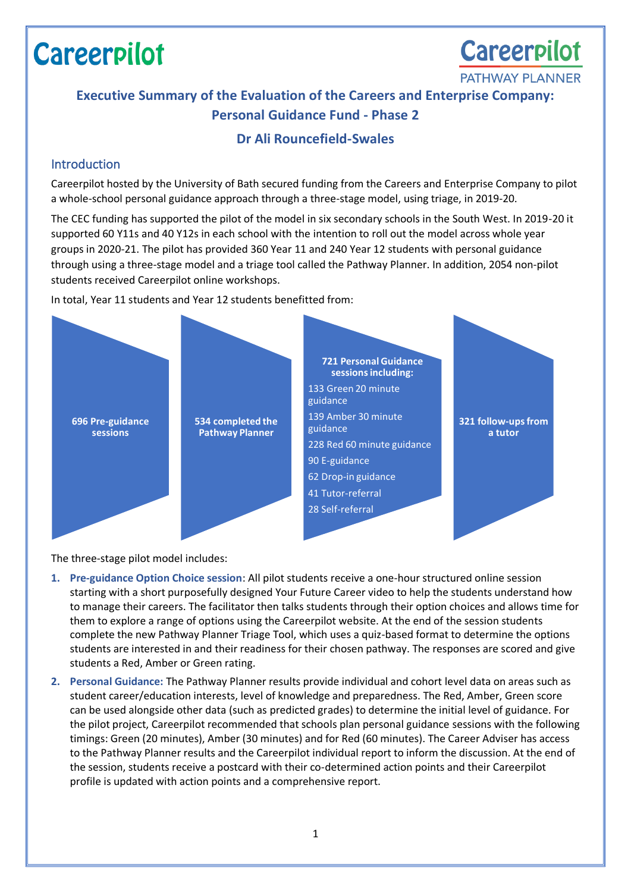# **Careerpilot**

# **Careerpilot**

**PATHWAY PLANNER** 

**Executive Summary of the Evaluation of the Careers and Enterprise Company: Personal Guidance Fund - Phase 2**

# **Dr Ali Rouncefield-Swales**

# Introduction

Careerpilot hosted by the University of Bath secured funding from the Careers and Enterprise Company to pilot a whole-school personal guidance approach through a three-stage model, using triage, in 2019-20.

The CEC funding has supported the pilot of the model in six secondary schools in the South West. In 2019-20 it supported 60 Y11s and 40 Y12s in each school with the intention to roll out the model across whole year groups in 2020-21. The pilot has provided 360 Year 11 and 240 Year 12 students with personal guidance through using a three-stage model and a triage tool called the Pathway Planner. In addition, 2054 non-pilot students received Careerpilot online workshops.

In total, Year 11 students and Year 12 students benefitted from:



The three-stage pilot model includes:

- **1. Pre-guidance Option Choice session**: All pilot students receive a one-hour structured online session starting with a short purposefully designed Your Future Career video to help the students understand how to manage their careers. The facilitator then talks students through their option choices and allows time for them to explore a range of options using the Careerpilot website. At the end of the session students complete the new Pathway Planner Triage Tool, which uses a quiz-based format to determine the options students are interested in and their readiness for their chosen pathway. The responses are scored and give students a Red, Amber or Green rating.
- **2. Personal Guidance:** The Pathway Planner results provide individual and cohort level data on areas such as student career/education interests, level of knowledge and preparedness. The Red, Amber, Green score can be used alongside other data (such as predicted grades) to determine the initial level of guidance. For the pilot project, Careerpilot recommended that schools plan personal guidance sessions with the following timings: Green (20 minutes), Amber (30 minutes) and for Red (60 minutes). The Career Adviser has access to the Pathway Planner results and the Careerpilot individual report to inform the discussion. At the end of the session, students receive a postcard with their co-determined action points and their Careerpilot profile is updated with action points and a comprehensive report.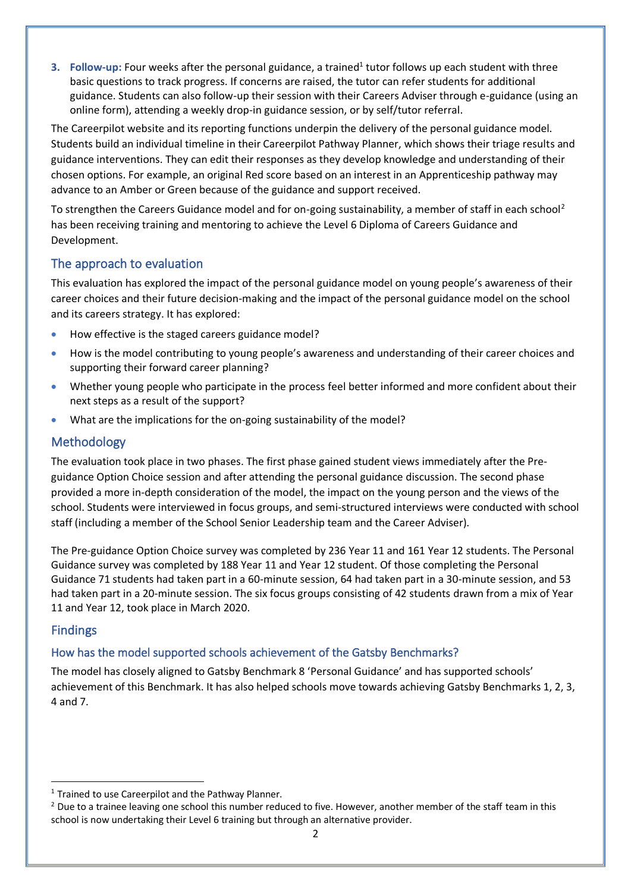**3. Follow-up:** Four weeks after the personal guidance, a trained<sup>1</sup> tutor follows up each student with three basic questions to track progress. If concerns are raised, the tutor can refer students for additional guidance. Students can also follow-up their session with their Careers Adviser through e-guidance (using an online form), attending a weekly drop-in guidance session, or by self/tutor referral.

The Careerpilot website and its reporting functions underpin the delivery of the personal guidance model. Students build an individual timeline in their Careerpilot Pathway Planner, which shows their triage results and guidance interventions. They can edit their responses as they develop knowledge and understanding of their chosen options. For example, an original Red score based on an interest in an Apprenticeship pathway may advance to an Amber or Green because of the guidance and support received.

To strengthen the Careers Guidance model and for on-going sustainability, a member of staff in each school<sup>2</sup> has been receiving training and mentoring to achieve the Level 6 Diploma of Careers Guidance and Development.

# The approach to evaluation

This evaluation has explored the impact of the personal guidance model on young people's awareness of their career choices and their future decision-making and the impact of the personal guidance model on the school and its careers strategy. It has explored:

- How effective is the staged careers guidance model?
- How is the model contributing to young people's awareness and understanding of their career choices and supporting their forward career planning?
- Whether young people who participate in the process feel better informed and more confident about their next steps as a result of the support?
- What are the implications for the on-going sustainability of the model?

# Methodology

The evaluation took place in two phases. The first phase gained student views immediately after the Preguidance Option Choice session and after attending the personal guidance discussion. The second phase provided a more in-depth consideration of the model, the impact on the young person and the views of the school. Students were interviewed in focus groups, and semi-structured interviews were conducted with school staff (including a member of the School Senior Leadership team and the Career Adviser).

The Pre-guidance Option Choice survey was completed by 236 Year 11 and 161 Year 12 students. The Personal Guidance survey was completed by 188 Year 11 and Year 12 student. Of those completing the Personal Guidance 71 students had taken part in a 60-minute session, 64 had taken part in a 30-minute session, and 53 had taken part in a 20-minute session. The six focus groups consisting of 42 students drawn from a mix of Year 11 and Year 12, took place in March 2020.

# Findings

#### How has the model supported schools achievement of the Gatsby Benchmarks?

The model has closely aligned to Gatsby Benchmark 8 'Personal Guidance' and has supported schools' achievement of this Benchmark. It has also helped schools move towards achieving Gatsby Benchmarks 1, 2, 3, 4 and 7.

<sup>&</sup>lt;sup>1</sup> Trained to use Careerpilot and the Pathway Planner.

<sup>&</sup>lt;sup>2</sup> Due to a trainee leaving one school this number reduced to five. However, another member of the staff team in this school is now undertaking their Level 6 training but through an alternative provider.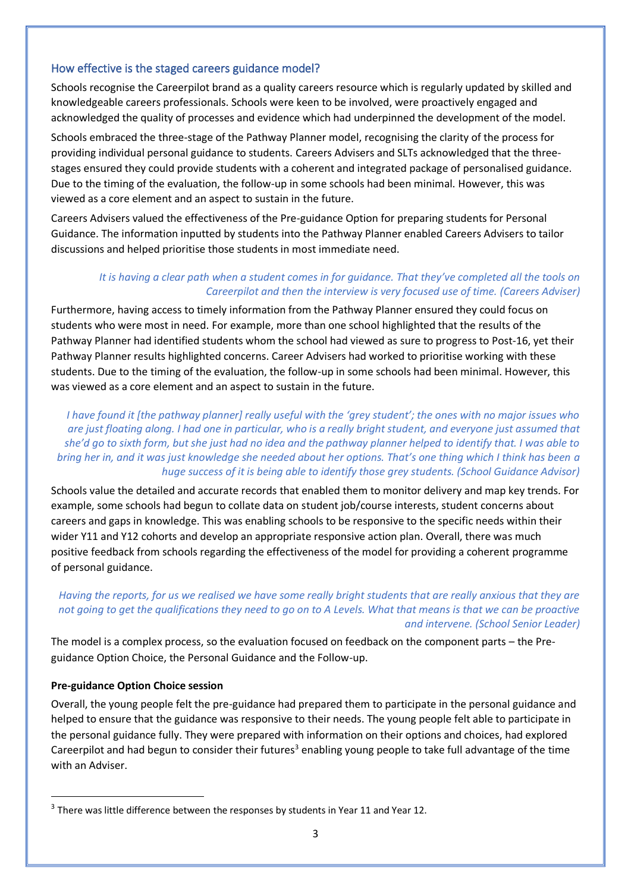#### How effective is the staged careers guidance model?

Schools recognise the Careerpilot brand as a quality careers resource which is regularly updated by skilled and knowledgeable careers professionals. Schools were keen to be involved, were proactively engaged and acknowledged the quality of processes and evidence which had underpinned the development of the model.

Schools embraced the three-stage of the Pathway Planner model, recognising the clarity of the process for providing individual personal guidance to students. Careers Advisers and SLTs acknowledged that the threestages ensured they could provide students with a coherent and integrated package of personalised guidance. Due to the timing of the evaluation, the follow-up in some schools had been minimal. However, this was viewed as a core element and an aspect to sustain in the future.

Careers Advisers valued the effectiveness of the Pre-guidance Option for preparing students for Personal Guidance. The information inputted by students into the Pathway Planner enabled Careers Advisers to tailor discussions and helped prioritise those students in most immediate need.

#### *It is having a clear path when a student comes in for guidance. That they've completed all the tools on Careerpilot and then the interview is very focused use of time. (Careers Adviser)*

Furthermore, having access to timely information from the Pathway Planner ensured they could focus on students who were most in need. For example, more than one school highlighted that the results of the Pathway Planner had identified students whom the school had viewed as sure to progress to Post-16, yet their Pathway Planner results highlighted concerns. Career Advisers had worked to prioritise working with these students. Due to the timing of the evaluation, the follow-up in some schools had been minimal. However, this was viewed as a core element and an aspect to sustain in the future.

*I have found it [the pathway planner] really useful with the 'grey student'; the ones with no major issues who are just floating along. I had one in particular, who is a really bright student, and everyone just assumed that she'd go to sixth form, but she just had no idea and the pathway planner helped to identify that. I was able to bring her in, and it was just knowledge she needed about her options. That's one thing which I think has been a huge success of it is being able to identify those grey students. (School Guidance Advisor)*

Schools value the detailed and accurate records that enabled them to monitor delivery and map key trends. For example, some schools had begun to collate data on student job/course interests, student concerns about careers and gaps in knowledge. This was enabling schools to be responsive to the specific needs within their wider Y11 and Y12 cohorts and develop an appropriate responsive action plan. Overall, there was much positive feedback from schools regarding the effectiveness of the model for providing a coherent programme of personal guidance.

#### *Having the reports, for us we realised we have some really bright students that are really anxious that they are not going to get the qualifications they need to go on to A Levels. What that means is that we can be proactive and intervene. (School Senior Leader)*

The model is a complex process, so the evaluation focused on feedback on the component parts – the Preguidance Option Choice, the Personal Guidance and the Follow-up.

#### **Pre-guidance Option Choice session**

Overall, the young people felt the pre-guidance had prepared them to participate in the personal guidance and helped to ensure that the guidance was responsive to their needs. The young people felt able to participate in the personal guidance fully. They were prepared with information on their options and choices, had explored Careerpilot and had begun to consider their futures<sup>3</sup> enabling young people to take full advantage of the time with an Adviser.

 $3$  There was little difference between the responses by students in Year 11 and Year 12.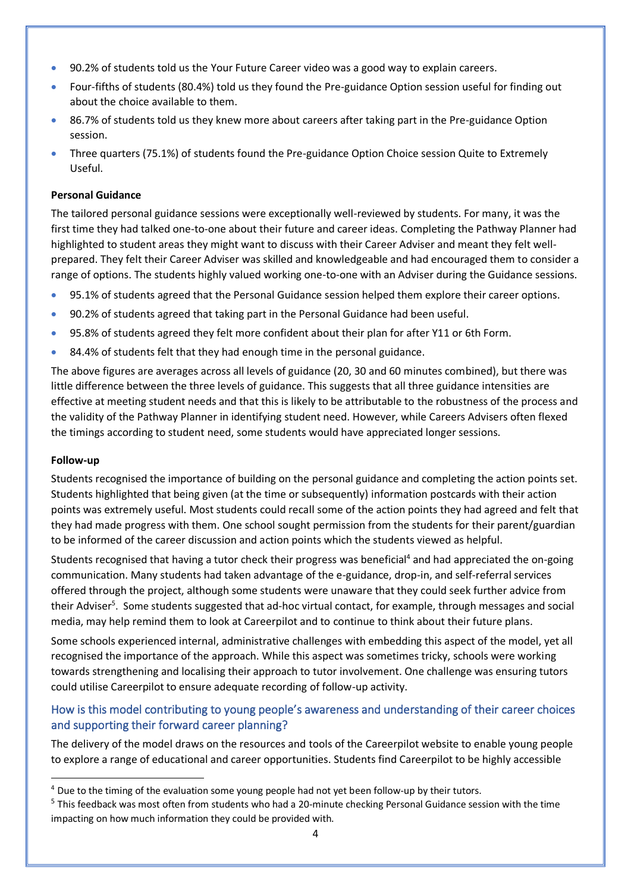- 90.2% of students told us the Your Future Career video was a good way to explain careers.
- Four-fifths of students (80.4%) told us they found the Pre-guidance Option session useful for finding out about the choice available to them.
- 86.7% of students told us they knew more about careers after taking part in the Pre-guidance Option session.
- Three quarters (75.1%) of students found the Pre-guidance Option Choice session Quite to Extremely Useful.

#### **Personal Guidance**

The tailored personal guidance sessions were exceptionally well-reviewed by students. For many, it was the first time they had talked one-to-one about their future and career ideas. Completing the Pathway Planner had highlighted to student areas they might want to discuss with their Career Adviser and meant they felt wellprepared. They felt their Career Adviser was skilled and knowledgeable and had encouraged them to consider a range of options. The students highly valued working one-to-one with an Adviser during the Guidance sessions.

- 95.1% of students agreed that the Personal Guidance session helped them explore their career options.
- 90.2% of students agreed that taking part in the Personal Guidance had been useful.
- 95.8% of students agreed they felt more confident about their plan for after Y11 or 6th Form.
- 84.4% of students felt that they had enough time in the personal guidance.

The above figures are averages across all levels of guidance (20, 30 and 60 minutes combined), but there was little difference between the three levels of guidance. This suggests that all three guidance intensities are effective at meeting student needs and that this is likely to be attributable to the robustness of the process and the validity of the Pathway Planner in identifying student need. However, while Careers Advisers often flexed the timings according to student need, some students would have appreciated longer sessions.

#### **Follow-up**

Students recognised the importance of building on the personal guidance and completing the action points set. Students highlighted that being given (at the time or subsequently) information postcards with their action points was extremely useful. Most students could recall some of the action points they had agreed and felt that they had made progress with them. One school sought permission from the students for their parent/guardian to be informed of the career discussion and action points which the students viewed as helpful.

Students recognised that having a tutor check their progress was beneficial<sup>4</sup> and had appreciated the on-going communication. Many students had taken advantage of the e-guidance, drop-in, and self-referral services offered through the project, although some students were unaware that they could seek further advice from their Adviser<sup>5</sup>. Some students suggested that ad-hoc virtual contact, for example, through messages and social media, may help remind them to look at Careerpilot and to continue to think about their future plans.

Some schools experienced internal, administrative challenges with embedding this aspect of the model, yet all recognised the importance of the approach. While this aspect was sometimes tricky, schools were working towards strengthening and localising their approach to tutor involvement. One challenge was ensuring tutors could utilise Careerpilot to ensure adequate recording of follow-up activity.

# How is this model contributing to young people's awareness and understanding of their career choices and supporting their forward career planning?

The delivery of the model draws on the resources and tools of the Careerpilot website to enable young people to explore a range of educational and career opportunities. Students find Careerpilot to be highly accessible

<sup>&</sup>lt;sup>4</sup> Due to the timing of the evaluation some young people had not yet been follow-up by their tutors.

<sup>&</sup>lt;sup>5</sup> This feedback was most often from students who had a 20-minute checking Personal Guidance session with the time impacting on how much information they could be provided with.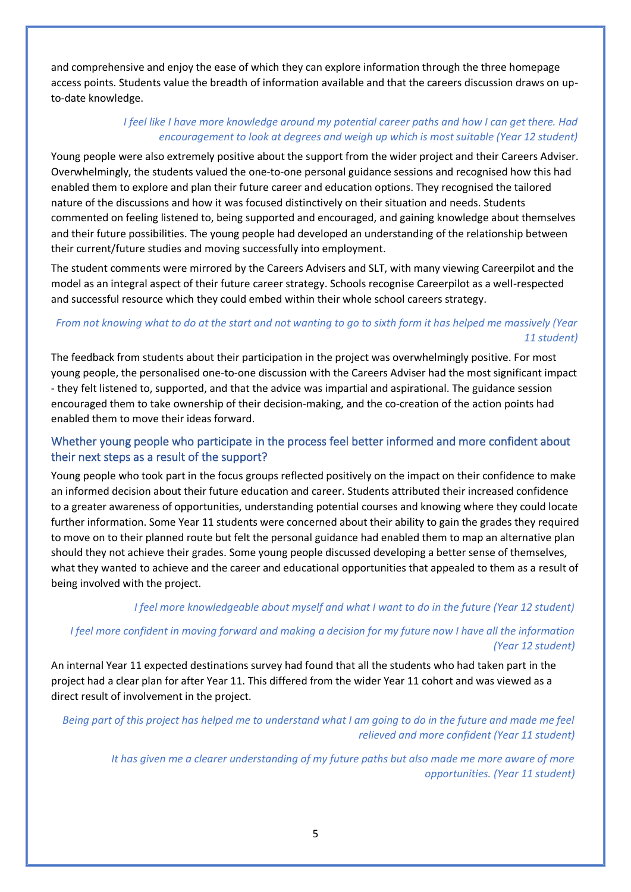and comprehensive and enjoy the ease of which they can explore information through the three homepage access points. Students value the breadth of information available and that the careers discussion draws on upto-date knowledge.

#### *I feel like I have more knowledge around my potential career paths and how I can get there. Had encouragement to look at degrees and weigh up which is most suitable (Year 12 student)*

Young people were also extremely positive about the support from the wider project and their Careers Adviser. Overwhelmingly, the students valued the one-to-one personal guidance sessions and recognised how this had enabled them to explore and plan their future career and education options. They recognised the tailored nature of the discussions and how it was focused distinctively on their situation and needs. Students commented on feeling listened to, being supported and encouraged, and gaining knowledge about themselves and their future possibilities. The young people had developed an understanding of the relationship between their current/future studies and moving successfully into employment.

The student comments were mirrored by the Careers Advisers and SLT, with many viewing Careerpilot and the model as an integral aspect of their future career strategy. Schools recognise Careerpilot as a well-respected and successful resource which they could embed within their whole school careers strategy.

# *From not knowing what to do at the start and not wanting to go to sixth form it has helped me massively (Year 11 student)*

The feedback from students about their participation in the project was overwhelmingly positive. For most young people, the personalised one-to-one discussion with the Careers Adviser had the most significant impact - they felt listened to, supported, and that the advice was impartial and aspirational. The guidance session encouraged them to take ownership of their decision-making, and the co-creation of the action points had enabled them to move their ideas forward.

# Whether young people who participate in the process feel better informed and more confident about their next steps as a result of the support?

Young people who took part in the focus groups reflected positively on the impact on their confidence to make an informed decision about their future education and career. Students attributed their increased confidence to a greater awareness of opportunities, understanding potential courses and knowing where they could locate further information. Some Year 11 students were concerned about their ability to gain the grades they required to move on to their planned route but felt the personal guidance had enabled them to map an alternative plan should they not achieve their grades. Some young people discussed developing a better sense of themselves, what they wanted to achieve and the career and educational opportunities that appealed to them as a result of being involved with the project.

#### *I* feel more knowledgeable about myself and what *I* want to do in the future (Year 12 student)

# *I feel more confident in moving forward and making a decision for my future now I have all the information (Year 12 student)*

An internal Year 11 expected destinations survey had found that all the students who had taken part in the project had a clear plan for after Year 11. This differed from the wider Year 11 cohort and was viewed as a direct result of involvement in the project.

*Being part of this project has helped me to understand what I am going to do in the future and made me feel relieved and more confident (Year 11 student)*

*It has given me a clearer understanding of my future paths but also made me more aware of more opportunities. (Year 11 student)*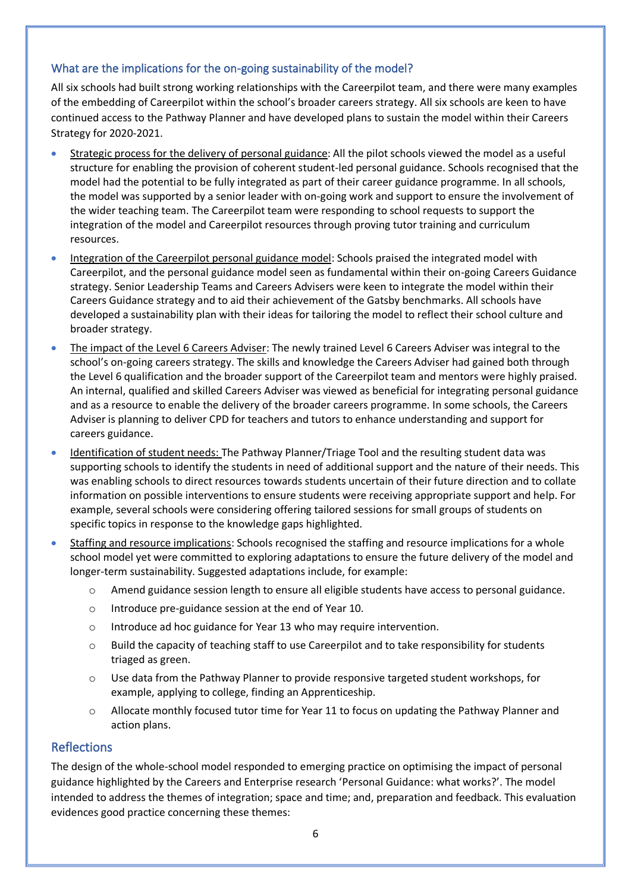#### What are the implications for the on-going sustainability of the model?

All six schools had built strong working relationships with the Careerpilot team, and there were many examples of the embedding of Careerpilot within the school's broader careers strategy. All six schools are keen to have continued access to the Pathway Planner and have developed plans to sustain the model within their Careers Strategy for 2020-2021.

- Strategic process for the delivery of personal guidance: All the pilot schools viewed the model as a useful structure for enabling the provision of coherent student-led personal guidance. Schools recognised that the model had the potential to be fully integrated as part of their career guidance programme. In all schools, the model was supported by a senior leader with on-going work and support to ensure the involvement of the wider teaching team. The Careerpilot team were responding to school requests to support the integration of the model and Careerpilot resources through proving tutor training and curriculum resources.
- Integration of the Careerpilot personal guidance model: Schools praised the integrated model with Careerpilot, and the personal guidance model seen as fundamental within their on-going Careers Guidance strategy. Senior Leadership Teams and Careers Advisers were keen to integrate the model within their Careers Guidance strategy and to aid their achievement of the Gatsby benchmarks. All schools have developed a sustainability plan with their ideas for tailoring the model to reflect their school culture and broader strategy.
- The impact of the Level 6 Careers Adviser: The newly trained Level 6 Careers Adviser was integral to the school's on-going careers strategy. The skills and knowledge the Careers Adviser had gained both through the Level 6 qualification and the broader support of the Careerpilot team and mentors were highly praised. An internal, qualified and skilled Careers Adviser was viewed as beneficial for integrating personal guidance and as a resource to enable the delivery of the broader careers programme. In some schools, the Careers Adviser is planning to deliver CPD for teachers and tutors to enhance understanding and support for careers guidance.
- Identification of student needs: The Pathway Planner/Triage Tool and the resulting student data was supporting schools to identify the students in need of additional support and the nature of their needs. This was enabling schools to direct resources towards students uncertain of their future direction and to collate information on possible interventions to ensure students were receiving appropriate support and help. For example, several schools were considering offering tailored sessions for small groups of students on specific topics in response to the knowledge gaps highlighted.
- Staffing and resource implications: Schools recognised the staffing and resource implications for a whole school model yet were committed to exploring adaptations to ensure the future delivery of the model and longer-term sustainability. Suggested adaptations include, for example:
	- o Amend guidance session length to ensure all eligible students have access to personal guidance.
	- o Introduce pre-guidance session at the end of Year 10.
	- o Introduce ad hoc guidance for Year 13 who may require intervention.
	- $\circ$  Build the capacity of teaching staff to use Careerpilot and to take responsibility for students triaged as green.
	- $\circ$  Use data from the Pathway Planner to provide responsive targeted student workshops, for example, applying to college, finding an Apprenticeship.
	- o Allocate monthly focused tutor time for Year 11 to focus on updating the Pathway Planner and action plans.

#### Reflections

The design of the whole-school model responded to emerging practice on optimising the impact of personal guidance highlighted by the Careers and Enterprise research 'Personal Guidance: what works?'. The model intended to address the themes of integration; space and time; and, preparation and feedback. This evaluation evidences good practice concerning these themes: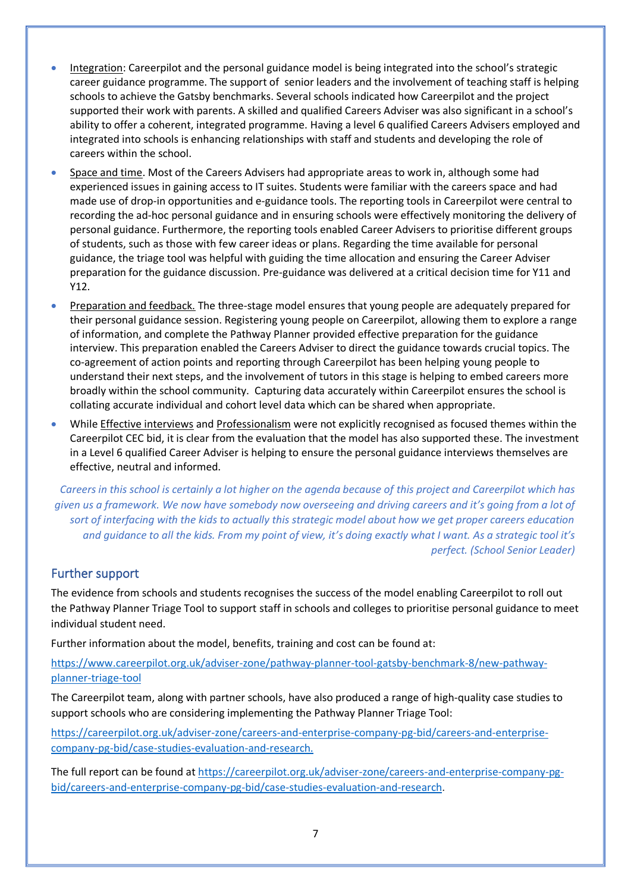- Integration: Careerpilot and the personal guidance model is being integrated into the school's strategic career guidance programme. The support of senior leaders and the involvement of teaching staff is helping schools to achieve the Gatsby benchmarks. Several schools indicated how Careerpilot and the project supported their work with parents. A skilled and qualified Careers Adviser was also significant in a school's ability to offer a coherent, integrated programme. Having a level 6 qualified Careers Advisers employed and integrated into schools is enhancing relationships with staff and students and developing the role of careers within the school.
- Space and time. Most of the Careers Advisers had appropriate areas to work in, although some had experienced issues in gaining access to IT suites. Students were familiar with the careers space and had made use of drop-in opportunities and e-guidance tools. The reporting tools in Careerpilot were central to recording the ad-hoc personal guidance and in ensuring schools were effectively monitoring the delivery of personal guidance. Furthermore, the reporting tools enabled Career Advisers to prioritise different groups of students, such as those with few career ideas or plans. Regarding the time available for personal guidance, the triage tool was helpful with guiding the time allocation and ensuring the Career Adviser preparation for the guidance discussion. Pre-guidance was delivered at a critical decision time for Y11 and Y12.
- Preparation and feedback. The three-stage model ensures that young people are adequately prepared for their personal guidance session. Registering young people on Careerpilot, allowing them to explore a range of information, and complete the Pathway Planner provided effective preparation for the guidance interview. This preparation enabled the Careers Adviser to direct the guidance towards crucial topics. The co-agreement of action points and reporting through Careerpilot has been helping young people to understand their next steps, and the involvement of tutors in this stage is helping to embed careers more broadly within the school community. Capturing data accurately within Careerpilot ensures the school is collating accurate individual and cohort level data which can be shared when appropriate.
- While Effective interviews and Professionalism were not explicitly recognised as focused themes within the Careerpilot CEC bid, it is clear from the evaluation that the model has also supported these. The investment in a Level 6 qualified Career Adviser is helping to ensure the personal guidance interviews themselves are effective, neutral and informed.

*Careers in this school is certainly a lot higher on the agenda because of this project and Careerpilot which has given us a framework. We now have somebody now overseeing and driving careers and it's going from a lot of sort of interfacing with the kids to actually this strategic model about how we get proper careers education and guidance to all the kids. From my point of view, it's doing exactly what I want. As a strategic tool it's perfect. (School Senior Leader)*

#### Further support

The evidence from schools and students recognises the success of the model enabling Careerpilot to roll out the Pathway Planner Triage Tool to support staff in schools and colleges to prioritise personal guidance to meet individual student need.

Further information about the model, benefits, training and cost can be found at:

[https://www.careerpilot.org.uk/adviser-zone/pathway-planner-tool-gatsby-benchmark-8/new-pathway](https://www.careerpilot.org.uk/adviser-zone/pathway-planner-tool-gatsby-benchmark-8/new-pathway-planner-triage-tool)[planner-triage-tool](https://www.careerpilot.org.uk/adviser-zone/pathway-planner-tool-gatsby-benchmark-8/new-pathway-planner-triage-tool)

The Careerpilot team, along with partner schools, have also produced a range of high-quality case studies to support schools who are considering implementing the Pathway Planner Triage Tool:

[https://careerpilot.org.uk/adviser-zone/careers-and-enterprise-company-pg-bid/careers-and-enterprise](about:blank)[company-pg-bid/case-studies-evaluation-and-research.](about:blank)

The full report can be found at [https://careerpilot.org.uk/adviser-zone/careers-and-enterprise-company-pg](about:blank)[bid/careers-and-enterprise-company-pg-bid/case-studies-evaluation-and-research.](about:blank)